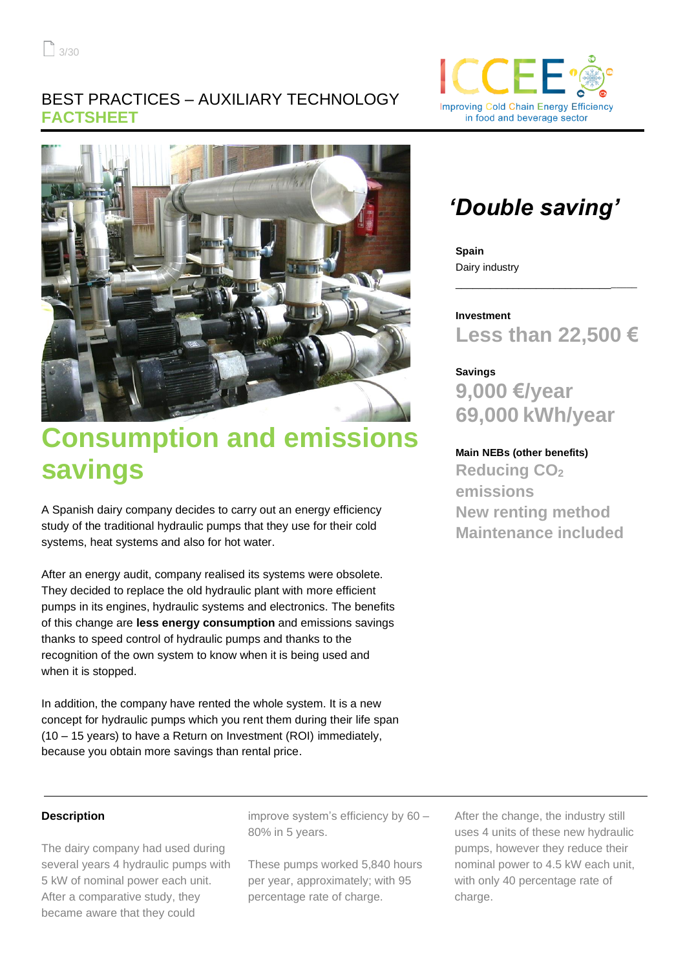### BEST PRACTICES – AUXILIARY TECHNOLOGY **FACTSHEET**



# **Consumption and emissions savings**

A Spanish dairy company decides to carry out an energy efficiency study of the traditional hydraulic pumps that they use for their cold systems, heat systems and also for hot water.

After an energy audit, company realised its systems were obsolete. They decided to replace the old hydraulic plant with more efficient pumps in its engines, hydraulic systems and electronics. The benefits of this change are **less energy consumption** and emissions savings thanks to speed control of hydraulic pumps and thanks to the recognition of the own system to know when it is being used and when it is stopped.

In addition, the company have rented the whole system. It is a new concept for hydraulic pumps which you rent them during their life span (10 – 15 years) to have a Return on Investment (ROI) immediately, because you obtain more savings than rental price.

## *'Double saving'*

**Spain** Dairy industry

**Investment Less than 22,500 €**

\_\_\_\_\_\_\_\_\_\_\_\_\_\_\_\_\_\_\_\_\_\_\_\_\_\_\_\_\_\_\_\_

### **Savings**

**9,000 €/year 69,000 kWh/year**

### **Main NEBs (other benefits)**

**Reducing CO<sup>2</sup> emissions New renting method Maintenance included**

#### **Description**

The dairy company had used during several years 4 hydraulic pumps with 5 kW of nominal power each unit. After a comparative study, they became aware that they could

improve system's efficiency by 60 – 80% in 5 years.

These pumps worked 5,840 hours per year, approximately; with 95 percentage rate of charge.

After the change, the industry still uses 4 units of these new hydraulic pumps, however they reduce their nominal power to 4.5 kW each unit, with only 40 percentage rate of charge.

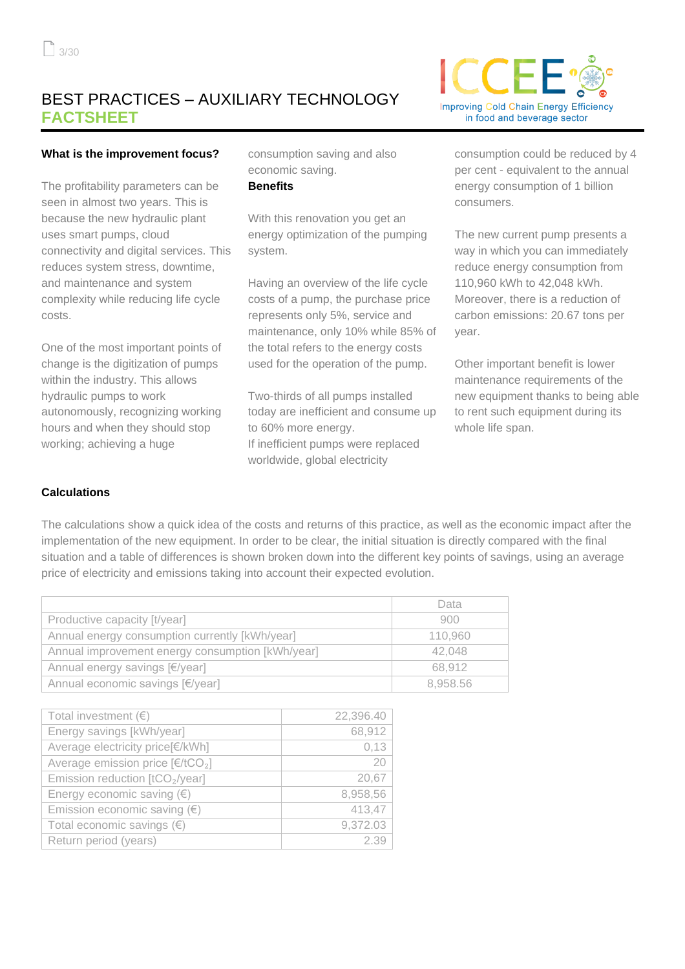### BEST PRACTICES – AUXILIARY TECHNOLOGY **FACTSHEET**



#### **What is the improvement focus?**

The profitability parameters can be seen in almost two years. This is because the new hydraulic plant uses smart pumps, cloud connectivity and digital services. This reduces system stress, downtime, and maintenance and system complexity while reducing life cycle costs.

One of the most important points of change is the digitization of pumps within the industry. This allows hydraulic pumps to work autonomously, recognizing working hours and when they should stop working; achieving a huge

consumption saving and also economic saving.

### **Benefits**

With this renovation you get an energy optimization of the pumping system.

Having an overview of the life cycle costs of a pump, the purchase price represents only 5%, service and maintenance, only 10% while 85% of the total refers to the energy costs used for the operation of the pump.

Two-thirds of all pumps installed today are inefficient and consume up to 60% more energy. If inefficient pumps were replaced worldwide, global electricity

consumption could be reduced by 4 per cent - equivalent to the annual energy consumption of 1 billion consumers.

The new current pump presents a way in which you can immediately reduce energy consumption from 110,960 kWh to 42,048 kWh. Moreover, there is a reduction of carbon emissions: 20.67 tons per year.

Other important benefit is lower maintenance requirements of the new equipment thanks to being able to rent such equipment during its whole life span.

### **Calculations**

The calculations show a quick idea of the costs and returns of this practice, as well as the economic impact after the implementation of the new equipment. In order to be clear, the initial situation is directly compared with the final situation and a table of differences is shown broken down into the different key points of savings, using an average price of electricity and emissions taking into account their expected evolution.

|                                                  | Data     |
|--------------------------------------------------|----------|
| Productive capacity [t/year]                     | 900      |
| Annual energy consumption currently [kWh/year]   | 110,960  |
| Annual improvement energy consumption [kWh/year] | 42,048   |
| Annual energy savings [€/year]                   | 68.912   |
| Annual economic savings [€/year]                 | 8,958.56 |

| Total investment $(\epsilon)$               | 22,396.40 |
|---------------------------------------------|-----------|
| Energy savings [kWh/year]                   | 68,912    |
| Average electricity price[€/kWh]            | 0,13      |
| Average emission price $[€/tCO2]$           | 20        |
| Emission reduction [tCO <sub>2</sub> /year] | 20,67     |
| Energy economic saving $(\epsilon)$         | 8,958,56  |
| Emission economic saving $(\epsilon)$       | 413,47    |
| Total economic savings $(\epsilon)$         | 9,372.03  |
| Return period (years)                       | 2.39      |
|                                             |           |